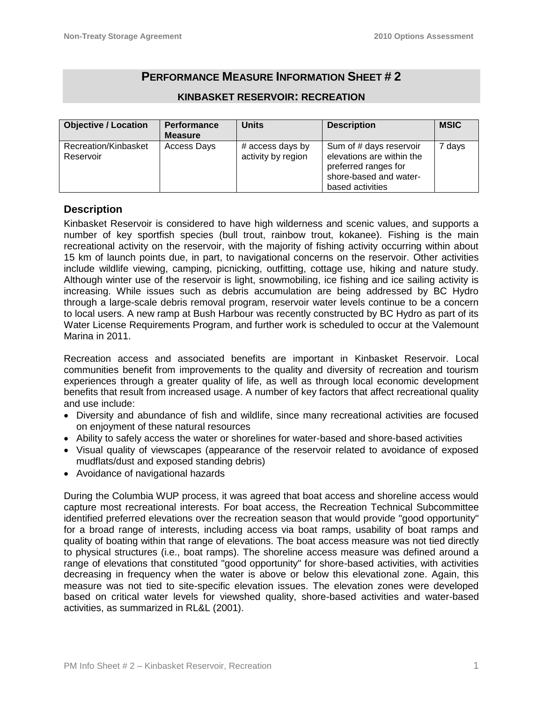# **PERFORMANCE MEASURE INFORMATION SHEET # 2**

| <b>Objective / Location</b>       | <b>Performance</b><br><b>Measure</b> | <b>Units</b>                           | <b>Description</b>                                                                                                         | <b>MSIC</b>       |
|-----------------------------------|--------------------------------------|----------------------------------------|----------------------------------------------------------------------------------------------------------------------------|-------------------|
| Recreation/Kinbasket<br>Reservoir | Access Days                          | # access days by<br>activity by region | Sum of # days reservoir<br>elevations are within the<br>preferred ranges for<br>shore-based and water-<br>based activities | <sup>7</sup> days |

### **KINBASKET RESERVOIR: RECREATION**

## **Description**

Kinbasket Reservoir is considered to have high wilderness and scenic values, and supports a number of key sportfish species (bull trout, rainbow trout, kokanee). Fishing is the main recreational activity on the reservoir, with the majority of fishing activity occurring within about 15 km of launch points due, in part, to navigational concerns on the reservoir. Other activities include wildlife viewing, camping, picnicking, outfitting, cottage use, hiking and nature study. Although winter use of the reservoir is light, snowmobiling, ice fishing and ice sailing activity is increasing. While issues such as debris accumulation are being addressed by BC Hydro through a large-scale debris removal program, reservoir water levels continue to be a concern to local users. A new ramp at Bush Harbour was recently constructed by BC Hydro as part of its Water License Requirements Program, and further work is scheduled to occur at the Valemount Marina in 2011.

Recreation access and associated benefits are important in Kinbasket Reservoir. Local communities benefit from improvements to the quality and diversity of recreation and tourism experiences through a greater quality of life, as well as through local economic development benefits that result from increased usage. A number of key factors that affect recreational quality and use include:

- Diversity and abundance of fish and wildlife, since many recreational activities are focused on enjoyment of these natural resources
- Ability to safely access the water or shorelines for water-based and shore-based activities
- Visual quality of viewscapes (appearance of the reservoir related to avoidance of exposed mudflats/dust and exposed standing debris)
- Avoidance of navigational hazards

During the Columbia WUP process, it was agreed that boat access and shoreline access would capture most recreational interests. For boat access, the Recreation Technical Subcommittee identified preferred elevations over the recreation season that would provide "good opportunity" for a broad range of interests, including access via boat ramps, usability of boat ramps and quality of boating within that range of elevations. The boat access measure was not tied directly to physical structures (i.e., boat ramps). The shoreline access measure was defined around a range of elevations that constituted "good opportunity" for shore-based activities, with activities decreasing in frequency when the water is above or below this elevational zone. Again, this measure was not tied to site-specific elevation issues. The elevation zones were developed based on critical water levels for viewshed quality, shore-based activities and water-based activities, as summarized in RL&L (2001).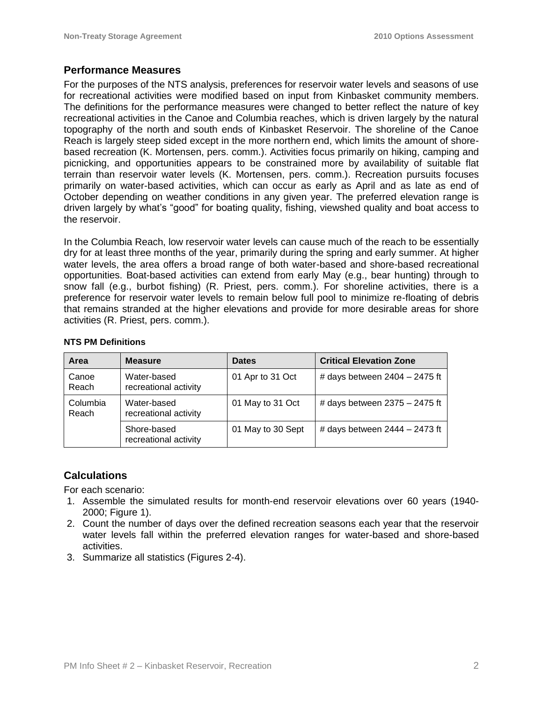## **Performance Measures**

For the purposes of the NTS analysis, preferences for reservoir water levels and seasons of use for recreational activities were modified based on input from Kinbasket community members. The definitions for the performance measures were changed to better reflect the nature of key recreational activities in the Canoe and Columbia reaches, which is driven largely by the natural topography of the north and south ends of Kinbasket Reservoir. The shoreline of the Canoe Reach is largely steep sided except in the more northern end, which limits the amount of shorebased recreation (K. Mortensen, pers. comm.). Activities focus primarily on hiking, camping and picnicking, and opportunities appears to be constrained more by availability of suitable flat terrain than reservoir water levels (K. Mortensen, pers. comm.). Recreation pursuits focuses primarily on water-based activities, which can occur as early as April and as late as end of October depending on weather conditions in any given year. The preferred elevation range is driven largely by what's "good" for boating quality, fishing, viewshed quality and boat access to the reservoir.

In the Columbia Reach, low reservoir water levels can cause much of the reach to be essentially dry for at least three months of the year, primarily during the spring and early summer. At higher water levels, the area offers a broad range of both water-based and shore-based recreational opportunities. Boat-based activities can extend from early May (e.g., bear hunting) through to snow fall (e.g., burbot fishing) (R. Priest, pers. comm.). For shoreline activities, there is a preference for reservoir water levels to remain below full pool to minimize re-floating of debris that remains stranded at the higher elevations and provide for more desirable areas for shore activities (R. Priest, pers. comm.).

| Area              | <b>Measure</b>                       | <b>Dates</b>      | <b>Critical Elevation Zone</b>  |
|-------------------|--------------------------------------|-------------------|---------------------------------|
| Canoe<br>Reach    | Water-based<br>recreational activity | 01 Apr to 31 Oct  | # days between $2404 - 2475$ ft |
| Columbia<br>Reach | Water-based<br>recreational activity | 01 May to 31 Oct  | # days between $2375 - 2475$ ft |
|                   | Shore-based<br>recreational activity | 01 May to 30 Sept | # days between $2444 - 2473$ ft |

#### **NTS PM Definitions**

## **Calculations**

For each scenario:

- 1. Assemble the simulated results for month-end reservoir elevations over 60 years (1940- 2000; Figure 1).
- 2. Count the number of days over the defined recreation seasons each year that the reservoir water levels fall within the preferred elevation ranges for water-based and shore-based activities.
- 3. Summarize all statistics (Figures 2-4).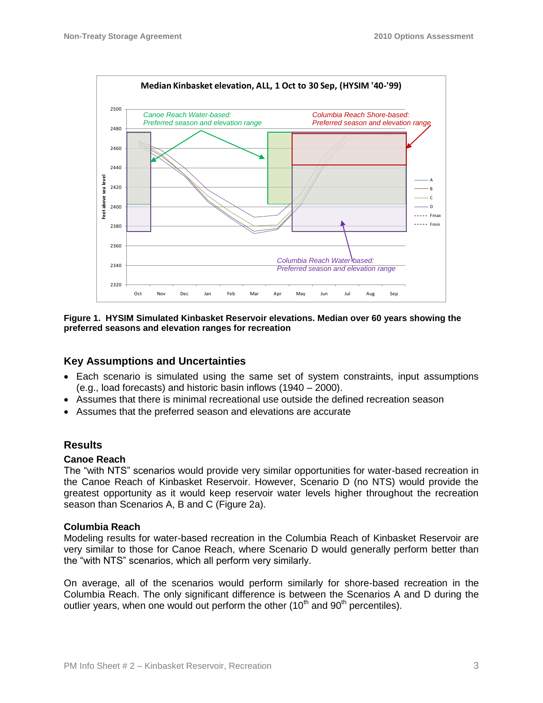

**Figure 1. HYSIM Simulated Kinbasket Reservoir elevations. Median over 60 years showing the preferred seasons and elevation ranges for recreation**

### **Key Assumptions and Uncertainties**

- Each scenario is simulated using the same set of system constraints, input assumptions (e.g., load forecasts) and historic basin inflows (1940 – 2000).
- Assumes that there is minimal recreational use outside the defined recreation season
- Assumes that the preferred season and elevations are accurate

### **Results**

#### **Canoe Reach**

The "with NTS" scenarios would provide very similar opportunities for water-based recreation in the Canoe Reach of Kinbasket Reservoir. However, Scenario D (no NTS) would provide the greatest opportunity as it would keep reservoir water levels higher throughout the recreation season than Scenarios A, B and C (Figure 2a).

#### **Columbia Reach**

Modeling results for water-based recreation in the Columbia Reach of Kinbasket Reservoir are very similar to those for Canoe Reach, where Scenario D would generally perform better than the "with NTS" scenarios, which all perform very similarly.

On average, all of the scenarios would perform similarly for shore-based recreation in the Columbia Reach. The only significant difference is between the Scenarios A and D during the outlier years, when one would out perform the other (10<sup>th</sup> and 90<sup>th</sup> percentiles).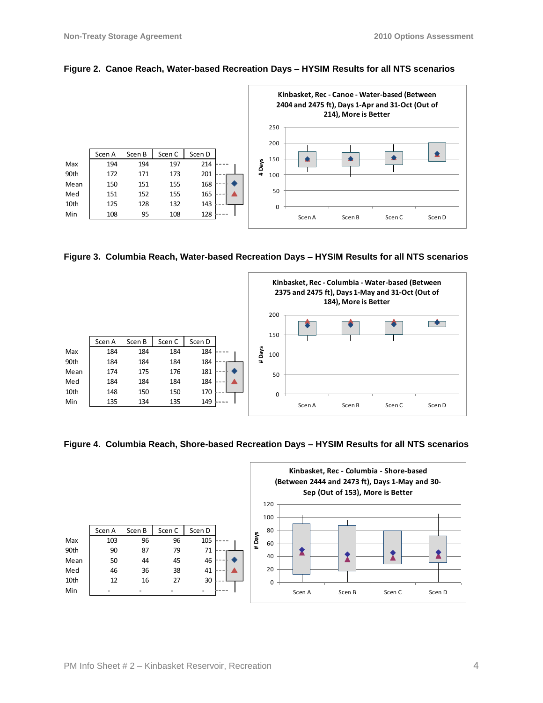

#### **Figure 2. Canoe Reach, Water-based Recreation Days – HYSIM Results for all NTS scenarios**

**Figure 3. Columbia Reach, Water-based Recreation Days – HYSIM Results for all NTS scenarios**



**Figure 4. Columbia Reach, Shore-based Recreation Days – HYSIM Results for all NTS scenarios**